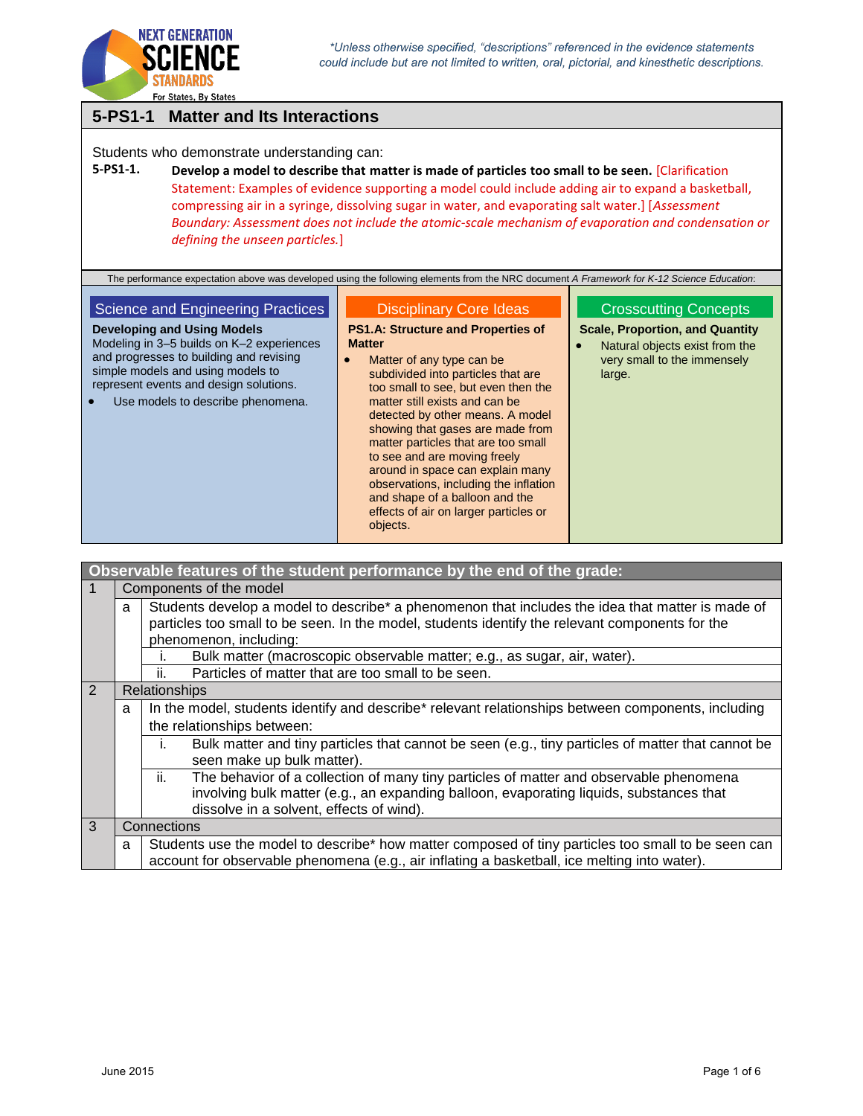

# **5-PS1-1 Matter and Its Interactions**

Students who demonstrate understanding can:

### **5-PS1-1. Develop a model to describe that matter is made of particles too small to be seen.** [Clarification Statement: Examples of evidence supporting a model could include adding air to expand a basketball, compressing air in a syringe, dissolving sugar in water, and evaporating salt water.] [*Assessment Boundary: Assessment does not include the atomic-scale mechanism of evaporation and condensation or defining the unseen particles.*]

The performance expectation above was developed using the following elements from the NRC document *A Framework for K-12 Science Education*:

### Science and Engineering Practices

**Developing and Using Models**

Disciplinary Core Ideas

**PS1.A: Structure and Properties of Matter**

Modeling in 3–5 builds on K–2 experiences and progresses to building and revising simple models and using models to represent events and design solutions. Use models to describe phenomena. • Matter of any type can be subdivided into particles that are too small to see, but even then the matter still exists and can be detected by other means. A model showing that gases are made from matter particles that are too small to see and are moving freely around in space can explain many observations, including the inflation and shape of a balloon and the effects of air on larger particles or

#### Crosscutting Concepts

**Scale, Proportion, and Quantity**

 Natural objects exist from the very small to the immensely large.

|                                                                          |   | Observable features of the student performance by the end of the grade:                                                                                                                                                              |
|--------------------------------------------------------------------------|---|--------------------------------------------------------------------------------------------------------------------------------------------------------------------------------------------------------------------------------------|
|                                                                          |   | Components of the model                                                                                                                                                                                                              |
|                                                                          | a | Students develop a model to describe* a phenomenon that includes the idea that matter is made of<br>particles too small to be seen. In the model, students identify the relevant components for the<br>phenomenon, including:        |
| Bulk matter (macroscopic observable matter; e.g., as sugar, air, water). |   |                                                                                                                                                                                                                                      |
| Particles of matter that are too small to be seen.<br>Ш.                 |   |                                                                                                                                                                                                                                      |
| 2                                                                        |   | <b>Relationships</b>                                                                                                                                                                                                                 |
|                                                                          | a | In the model, students identify and describe* relevant relationships between components, including                                                                                                                                   |
|                                                                          |   | the relationships between:                                                                                                                                                                                                           |
|                                                                          |   | Bulk matter and tiny particles that cannot be seen (e.g., tiny particles of matter that cannot be<br>Τ.<br>seen make up bulk matter).                                                                                                |
|                                                                          |   | ii.<br>The behavior of a collection of many tiny particles of matter and observable phenomena<br>involving bulk matter (e.g., an expanding balloon, evaporating liquids, substances that<br>dissolve in a solvent, effects of wind). |
| 3                                                                        |   | Connections                                                                                                                                                                                                                          |
|                                                                          | a | Students use the model to describe* how matter composed of tiny particles too small to be seen can<br>account for observable phenomena (e.g., air inflating a basketball, ice melting into water).                                   |

objects.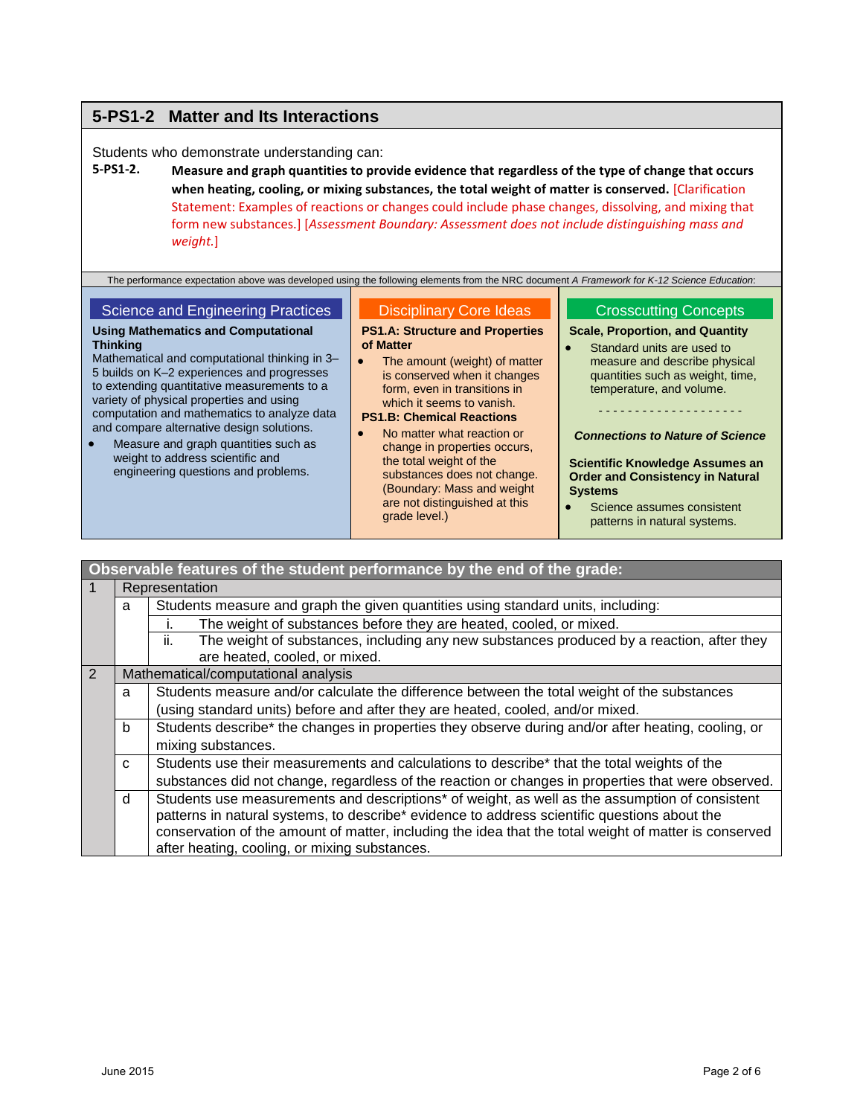# **5-PS1-2 Matter and Its Interactions**

Students who demonstrate understanding can:

**5-PS1-2. Measure and graph quantities to provide evidence that regardless of the type of change that occurs when heating, cooling, or mixing substances, the total weight of matter is conserved.** [Clarification Statement: Examples of reactions or changes could include phase changes, dissolving, and mixing that form new substances.] [*Assessment Boundary: Assessment does not include distinguishing mass and weight.*]

The performance expectation above was developed using the following elements from the NRC document *A Framework for K-12 Science Education*:

#### Science and Engineering Practices

#### **Using Mathematics and Computational Thinking**

Mathematical and computational thinking in 3– 5 builds on K–2 experiences and progresses to extending quantitative measurements to a variety of physical properties and using computation and mathematics to analyze data and compare alternative design solutions.

 Measure and graph quantities such as weight to address scientific and engineering questions and problems.

### Disciplinary Core Ideas

**PS1.A: Structure and Properties of Matter**

• The amount (weight) of matter is conserved when it changes form, even in transitions in which it seems to vanish.

**PS1.B: Chemical Reactions**

 No matter what reaction or change in properties occurs, the total weight of the substances does not change. (Boundary: Mass and weight are not distinguished at this grade level.)

#### Crosscutting Concepts

**Scale, Proportion, and Quantity**

 Standard units are used to measure and describe physical quantities such as weight, time, temperature, and volume.

- - - - - - - - - - - - - - - - - - - -

*Connections to Nature of Science*

**Scientific Knowledge Assumes an Order and Consistency in Natural Systems**

• Science assumes consistent patterns in natural systems.

|                                          | Observable features of the student performance by the end of the grade: |                                                                                                            |  |  |
|------------------------------------------|-------------------------------------------------------------------------|------------------------------------------------------------------------------------------------------------|--|--|
|                                          | Representation                                                          |                                                                                                            |  |  |
|                                          | a                                                                       | Students measure and graph the given quantities using standard units, including:                           |  |  |
|                                          |                                                                         | The weight of substances before they are heated, cooled, or mixed.                                         |  |  |
|                                          |                                                                         | ii.<br>The weight of substances, including any new substances produced by a reaction, after they           |  |  |
|                                          | are heated, cooled, or mixed.                                           |                                                                                                            |  |  |
| 2<br>Mathematical/computational analysis |                                                                         |                                                                                                            |  |  |
| a                                        |                                                                         | Students measure and/or calculate the difference between the total weight of the substances                |  |  |
|                                          |                                                                         | (using standard units) before and after they are heated, cooled, and/or mixed.                             |  |  |
|                                          | b                                                                       | Students describe* the changes in properties they observe during and/or after heating, cooling, or         |  |  |
| mixing substances.                       |                                                                         |                                                                                                            |  |  |
| $\mathsf{C}$                             |                                                                         | Students use their measurements and calculations to describe* that the total weights of the                |  |  |
|                                          |                                                                         | substances did not change, regardless of the reaction or changes in properties that were observed.         |  |  |
| d                                        |                                                                         | Students use measurements and descriptions <sup>*</sup> of weight, as well as the assumption of consistent |  |  |
|                                          |                                                                         | patterns in natural systems, to describe* evidence to address scientific questions about the               |  |  |
|                                          |                                                                         | conservation of the amount of matter, including the idea that the total weight of matter is conserved      |  |  |
|                                          |                                                                         | after heating, cooling, or mixing substances.                                                              |  |  |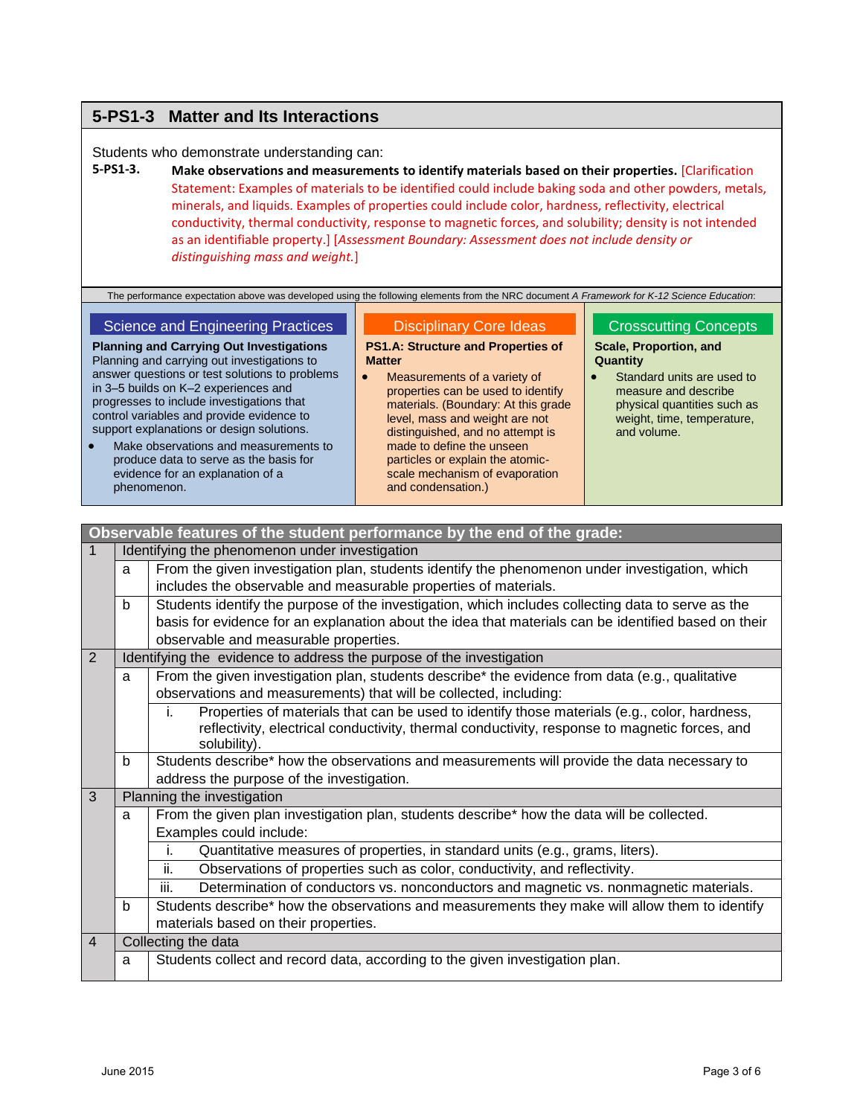## **5-PS1-3 Matter and Its Interactions**

Students who demonstrate understanding can:

**5-PS1-3. Make observations and measurements to identify materials based on their properties.** [Clarification Statement: Examples of materials to be identified could include baking soda and other powders, metals, minerals, and liquids. Examples of properties could include color, hardness, reflectivity, electrical conductivity, thermal conductivity, response to magnetic forces, and solubility; density is not intended as an identifiable property.] [*Assessment Boundary: Assessment does not include density or distinguishing mass and weight.*]

The performance expectation above was developed using the following elements from the NRC document *A Framework for K-12 Science Education*:

#### Science and Engineering Practices

**Planning and Carrying Out Investigations** Planning and carrying out investigations to answer questions or test solutions to problems in 3–5 builds on K–2 experiences and progresses to include investigations that control variables and provide evidence to support explanations or design solutions.

 Make observations and measurements to produce data to serve as the basis for evidence for an explanation of a phenomenon.

#### Disciplinary Core Ideas

**PS1.A: Structure and Properties of Matter**

 Measurements of a variety of properties can be used to identify materials. (Boundary: At this grade level, mass and weight are not distinguished, and no attempt is made to define the unseen particles or explain the atomicscale mechanism of evaporation and condensation.)

#### Crosscutting Concepts

**Scale, Proportion, and Quantity**

 Standard units are used to measure and describe physical quantities such as weight, time, temperature, and volume.

|                                                                                                         |                                                                      | Observable features of the student performance by the end of the grade:                              |  |
|---------------------------------------------------------------------------------------------------------|----------------------------------------------------------------------|------------------------------------------------------------------------------------------------------|--|
| $\mathbf 1$                                                                                             | Identifying the phenomenon under investigation                       |                                                                                                      |  |
|                                                                                                         | a                                                                    | From the given investigation plan, students identify the phenomenon under investigation, which       |  |
|                                                                                                         |                                                                      | includes the observable and measurable properties of materials.                                      |  |
| Students identify the purpose of the investigation, which includes collecting data to serve as the<br>b |                                                                      |                                                                                                      |  |
|                                                                                                         |                                                                      | basis for evidence for an explanation about the idea that materials can be identified based on their |  |
|                                                                                                         |                                                                      | observable and measurable properties.                                                                |  |
| 2                                                                                                       | Identifying the evidence to address the purpose of the investigation |                                                                                                      |  |
| From the given investigation plan, students describe* the evidence from data (e.g., qualitative<br>a    |                                                                      |                                                                                                      |  |
| observations and measurements) that will be collected, including:                                       |                                                                      |                                                                                                      |  |
| j.                                                                                                      |                                                                      | Properties of materials that can be used to identify those materials (e.g., color, hardness,         |  |
|                                                                                                         |                                                                      | reflectivity, electrical conductivity, thermal conductivity, response to magnetic forces, and        |  |
|                                                                                                         | solubility).                                                         |                                                                                                      |  |
|                                                                                                         | b                                                                    | Students describe* how the observations and measurements will provide the data necessary to          |  |
|                                                                                                         |                                                                      | address the purpose of the investigation.                                                            |  |
|                                                                                                         | 3<br>Planning the investigation                                      |                                                                                                      |  |
| From the given plan investigation plan, students describe* how the data will be collected.<br>a         |                                                                      |                                                                                                      |  |
|                                                                                                         |                                                                      | Examples could include:                                                                              |  |
|                                                                                                         |                                                                      | Quantitative measures of properties, in standard units (e.g., grams, liters).<br>j.                  |  |
|                                                                                                         |                                                                      | Observations of properties such as color, conductivity, and reflectivity.<br>ii.                     |  |
|                                                                                                         |                                                                      | iii.<br>Determination of conductors vs. nonconductors and magnetic vs. nonmagnetic materials.        |  |
|                                                                                                         | b                                                                    | Students describe* how the observations and measurements they make will allow them to identify       |  |
|                                                                                                         |                                                                      | materials based on their properties.                                                                 |  |
| $\overline{4}$                                                                                          |                                                                      | Collecting the data                                                                                  |  |
|                                                                                                         | a                                                                    | Students collect and record data, according to the given investigation plan.                         |  |
|                                                                                                         |                                                                      |                                                                                                      |  |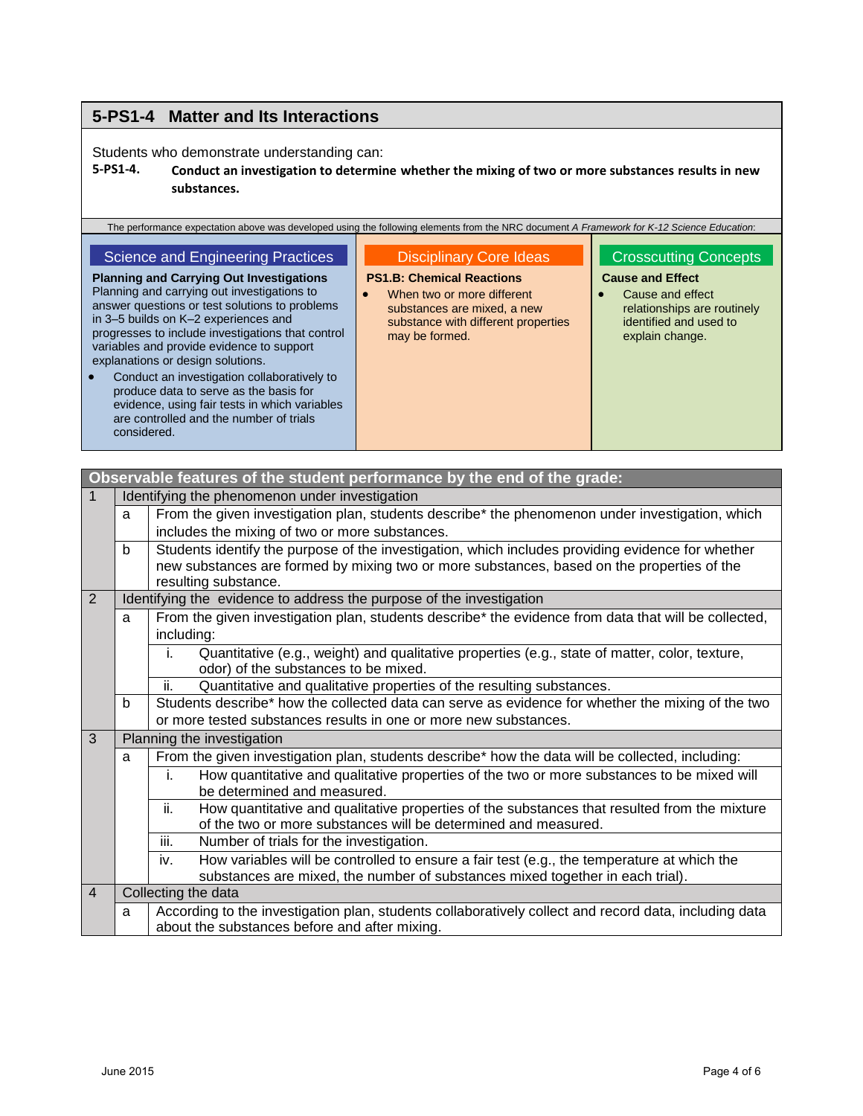# **5-PS1-4 Matter and Its Interactions**

Students who demonstrate understanding can:

### **5-PS1-4. Conduct an investigation to determine whether the mixing of two or more substances results in new substances.**

| The performance expectation above was developed using the following elements from the NRC document A Framework for K-12 Science Education:                                                                                                                                                                                                                                                                                                                                                                                                                               |                                                                                                                                                                                                       |                                                                                                                                                         |
|--------------------------------------------------------------------------------------------------------------------------------------------------------------------------------------------------------------------------------------------------------------------------------------------------------------------------------------------------------------------------------------------------------------------------------------------------------------------------------------------------------------------------------------------------------------------------|-------------------------------------------------------------------------------------------------------------------------------------------------------------------------------------------------------|---------------------------------------------------------------------------------------------------------------------------------------------------------|
| Science and Engineering Practices<br><b>Planning and Carrying Out Investigations</b><br>Planning and carrying out investigations to<br>answer questions or test solutions to problems<br>in 3-5 builds on K-2 experiences and<br>progresses to include investigations that control<br>variables and provide evidence to support<br>explanations or design solutions.<br>Conduct an investigation collaboratively to<br>produce data to serve as the basis for<br>evidence, using fair tests in which variables<br>are controlled and the number of trials<br>considered. | <b>Disciplinary Core Ideas</b><br><b>PS1.B: Chemical Reactions</b><br>When two or more different<br>$\bullet$<br>substances are mixed, a new<br>substance with different properties<br>may be formed. | <b>Crosscutting Concepts</b><br><b>Cause and Effect</b><br>Cause and effect<br>relationships are routinely<br>identified and used to<br>explain change. |

|                |                                                                                                     | Observable features of the student performance by the end of the grade:                                                                                                                                                 |  |  |
|----------------|-----------------------------------------------------------------------------------------------------|-------------------------------------------------------------------------------------------------------------------------------------------------------------------------------------------------------------------------|--|--|
| $\mathbf{1}$   |                                                                                                     | Identifying the phenomenon under investigation                                                                                                                                                                          |  |  |
| a              |                                                                                                     | From the given investigation plan, students describe* the phenomenon under investigation, which                                                                                                                         |  |  |
|                |                                                                                                     | includes the mixing of two or more substances.                                                                                                                                                                          |  |  |
|                | b                                                                                                   | Students identify the purpose of the investigation, which includes providing evidence for whether<br>new substances are formed by mixing two or more substances, based on the properties of the<br>resulting substance. |  |  |
| 2              |                                                                                                     | Identifying the evidence to address the purpose of the investigation                                                                                                                                                    |  |  |
|                | a                                                                                                   | From the given investigation plan, students describe* the evidence from data that will be collected,                                                                                                                    |  |  |
| including:     |                                                                                                     |                                                                                                                                                                                                                         |  |  |
|                |                                                                                                     | Quantitative (e.g., weight) and qualitative properties (e.g., state of matter, color, texture,<br>i.                                                                                                                    |  |  |
|                |                                                                                                     | odor) of the substances to be mixed.                                                                                                                                                                                    |  |  |
|                |                                                                                                     | ii.<br>Quantitative and qualitative properties of the resulting substances.                                                                                                                                             |  |  |
|                | b                                                                                                   | Students describe* how the collected data can serve as evidence for whether the mixing of the two                                                                                                                       |  |  |
|                |                                                                                                     | or more tested substances results in one or more new substances.                                                                                                                                                        |  |  |
| 3              |                                                                                                     | Planning the investigation                                                                                                                                                                                              |  |  |
|                | a                                                                                                   | From the given investigation plan, students describe* how the data will be collected, including:                                                                                                                        |  |  |
| i.             |                                                                                                     | How quantitative and qualitative properties of the two or more substances to be mixed will                                                                                                                              |  |  |
|                |                                                                                                     | be determined and measured.                                                                                                                                                                                             |  |  |
|                | ii.<br>How quantitative and qualitative properties of the substances that resulted from the mixture |                                                                                                                                                                                                                         |  |  |
|                |                                                                                                     | of the two or more substances will be determined and measured.                                                                                                                                                          |  |  |
|                |                                                                                                     | iii.<br>Number of trials for the investigation.                                                                                                                                                                         |  |  |
|                |                                                                                                     | How variables will be controlled to ensure a fair test (e.g., the temperature at which the<br>iv.                                                                                                                       |  |  |
|                |                                                                                                     | substances are mixed, the number of substances mixed together in each trial).                                                                                                                                           |  |  |
| $\overline{4}$ |                                                                                                     | Collecting the data                                                                                                                                                                                                     |  |  |
|                | a                                                                                                   | According to the investigation plan, students collaboratively collect and record data, including data                                                                                                                   |  |  |
|                |                                                                                                     | about the substances before and after mixing.                                                                                                                                                                           |  |  |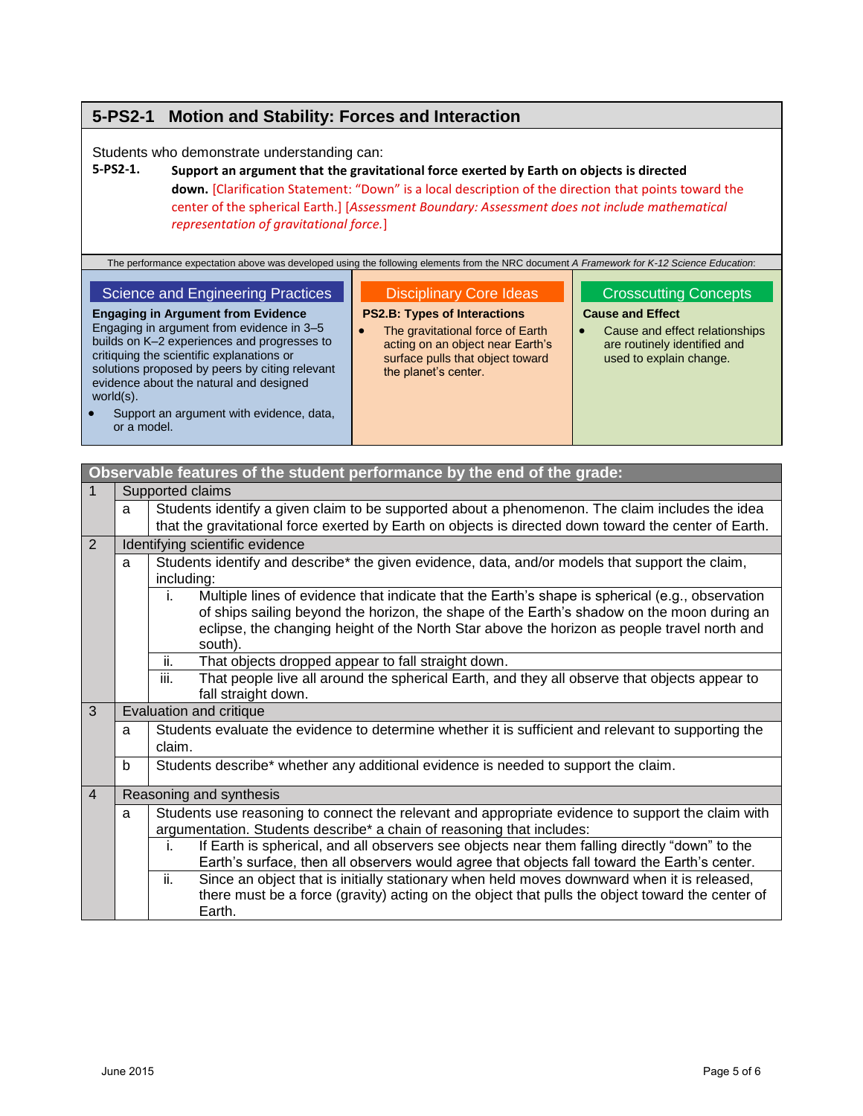# **5-PS2-1 Motion and Stability: Forces and Interaction**

Students who demonstrate understanding can:

### **5-PS2-1. Support an argument that the gravitational force exerted by Earth on objects is directed down.** [Clarification Statement: "Down" is a local description of the direction that points toward the center of the spherical Earth.] [*Assessment Boundary: Assessment does not include mathematical representation of gravitational force.*]

The performance expectation above was developed using the following elements from the NRC document *A Framework for K-12 Science Education*:

#### Science and Engineering Practices

**Engaging in Argument from Evidence** Engaging in argument from evidence in 3–5

#### Disciplinary Core Ideas

#### **PS2.B: Types of Interactions**

• The gravitational force of Earth acting on an object near Earth's surface pulls that object toward the planet's center.

### Crosscutting Concepts

#### **Cause and Effect**

• Cause and effect relationships are routinely identified and used to explain change.

builds on K–2 experiences and progresses to critiquing the scientific explanations or solutions proposed by peers by citing relevant evidence about the natural and designed world(s).

 Support an argument with evidence, data, or a model.

|                | Observable features of the student performance by the end of the grade: |                                                                                                                                                                            |  |  |
|----------------|-------------------------------------------------------------------------|----------------------------------------------------------------------------------------------------------------------------------------------------------------------------|--|--|
| 1              |                                                                         | Supported claims                                                                                                                                                           |  |  |
|                | a                                                                       | Students identify a given claim to be supported about a phenomenon. The claim includes the idea                                                                            |  |  |
|                |                                                                         | that the gravitational force exerted by Earth on objects is directed down toward the center of Earth.                                                                      |  |  |
| 2              |                                                                         | Identifying scientific evidence                                                                                                                                            |  |  |
|                | a                                                                       | Students identify and describe* the given evidence, data, and/or models that support the claim,                                                                            |  |  |
|                |                                                                         | including:                                                                                                                                                                 |  |  |
|                |                                                                         | Multiple lines of evidence that indicate that the Earth's shape is spherical (e.g., observation<br>i.                                                                      |  |  |
|                |                                                                         | of ships sailing beyond the horizon, the shape of the Earth's shadow on the moon during an                                                                                 |  |  |
|                |                                                                         | eclipse, the changing height of the North Star above the horizon as people travel north and                                                                                |  |  |
|                |                                                                         | south).<br>ii.                                                                                                                                                             |  |  |
|                |                                                                         | That objects dropped appear to fall straight down.<br>iii.<br>That people live all around the spherical Earth, and they all observe that objects appear to                 |  |  |
|                |                                                                         | fall straight down.                                                                                                                                                        |  |  |
| 3              |                                                                         | Evaluation and critique                                                                                                                                                    |  |  |
|                | a                                                                       | Students evaluate the evidence to determine whether it is sufficient and relevant to supporting the                                                                        |  |  |
|                | claim.                                                                  |                                                                                                                                                                            |  |  |
|                | b                                                                       | Students describe* whether any additional evidence is needed to support the claim.                                                                                         |  |  |
| $\overline{4}$ |                                                                         |                                                                                                                                                                            |  |  |
|                |                                                                         | Reasoning and synthesis                                                                                                                                                    |  |  |
|                | a                                                                       | Students use reasoning to connect the relevant and appropriate evidence to support the claim with<br>argumentation. Students describe* a chain of reasoning that includes: |  |  |
|                |                                                                         | If Earth is spherical, and all observers see objects near them falling directly "down" to the<br>i.                                                                        |  |  |
|                |                                                                         | Earth's surface, then all observers would agree that objects fall toward the Earth's center.                                                                               |  |  |
|                |                                                                         | ii.<br>Since an object that is initially stationary when held moves downward when it is released,                                                                          |  |  |
|                |                                                                         | there must be a force (gravity) acting on the object that pulls the object toward the center of                                                                            |  |  |
|                |                                                                         | Earth.                                                                                                                                                                     |  |  |
|                |                                                                         |                                                                                                                                                                            |  |  |